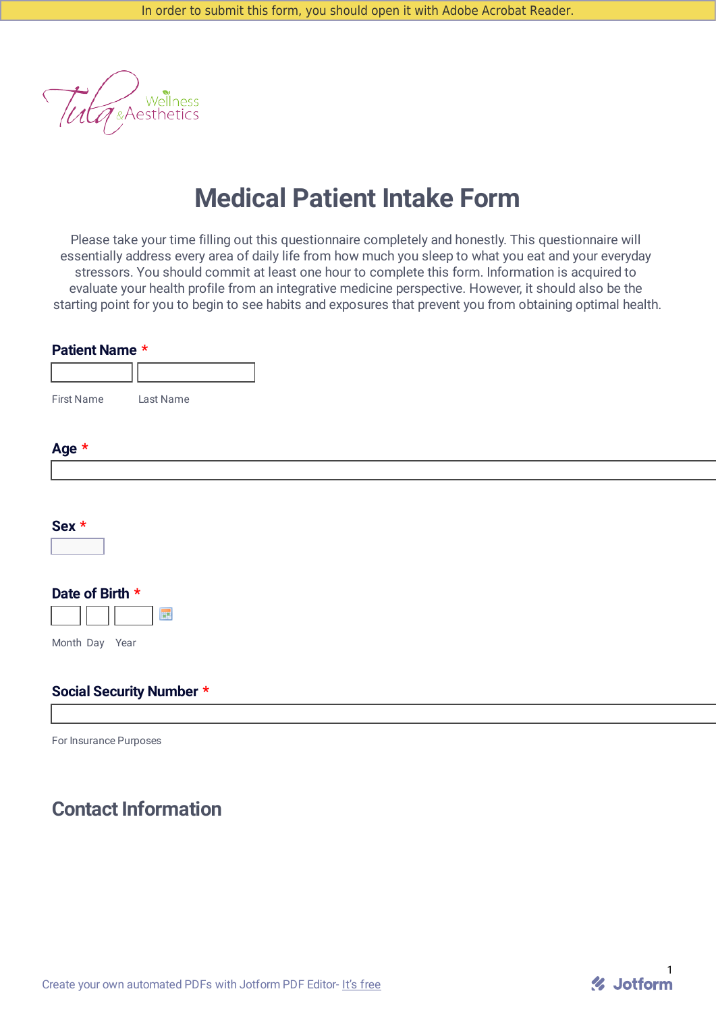Wellness<br>& Aesthetics

# **Medical Patient Intake Form**

Please take your time filling out this questionnaire completely and honestly. This questionnaire will essentially address every area of daily life from how much you sleep to what you eat and your everyday stressors. You should commit at least one hour to complete this form. Information is acquired to evaluate your health profile from an integrative medicine perspective. However, it should also be the starting point for you to begin to see habits and exposures that prevent you from obtaining optimal health.

| <b>First Name</b><br>Last Name  |
|---------------------------------|
|                                 |
|                                 |
| Age *                           |
|                                 |
|                                 |
| Sex *                           |
| $\Box$                          |
|                                 |
| Date of Birth *<br>展            |
| Month Day Year                  |
|                                 |
| <b>Social Security Number *</b> |
|                                 |

% Jotform

For Insurance Purposes

# **Contact Information**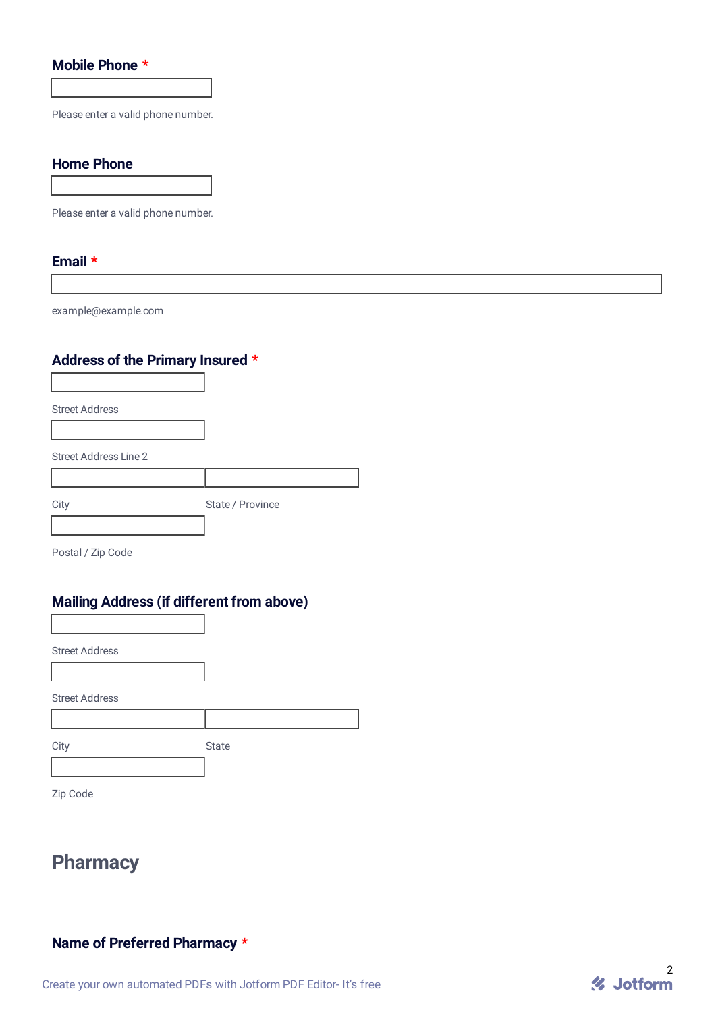### **Mobile Phone \***

Please enter a valid phone number.

#### **Home Phone**

Please enter a valid phone number.

#### **Email \***

example@example.com

### **Address of the Primary Insured \***

Street Address

Street Address Line 2

| City | State / Province |
|------|------------------|
|      |                  |

Postal / Zip Code

### **Mailing Address (if different from above)**

Street Address

Street Address

City **State** 

Zip Code

# **Pharmacy**

### **Name of Preferred Pharmacy \***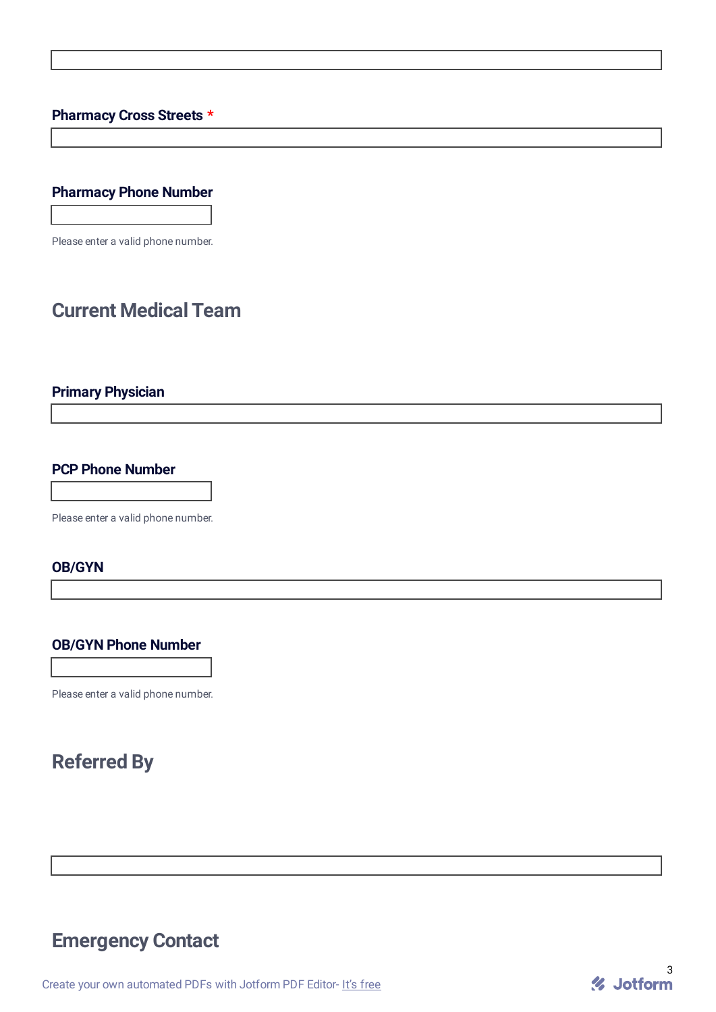### **Pharmacy Cross Streets \***

## **Pharmacy Phone Number**

Please enter a valid phone number.

## **Current Medical Team**

### **Primary Physician**

### **PCP Phone Number**

Please enter a valid phone number.

#### **OB/GYN**

#### **OB/GYN Phone Number**

Please enter a valid phone number.

# **Referred By**

## **Emergency Contact**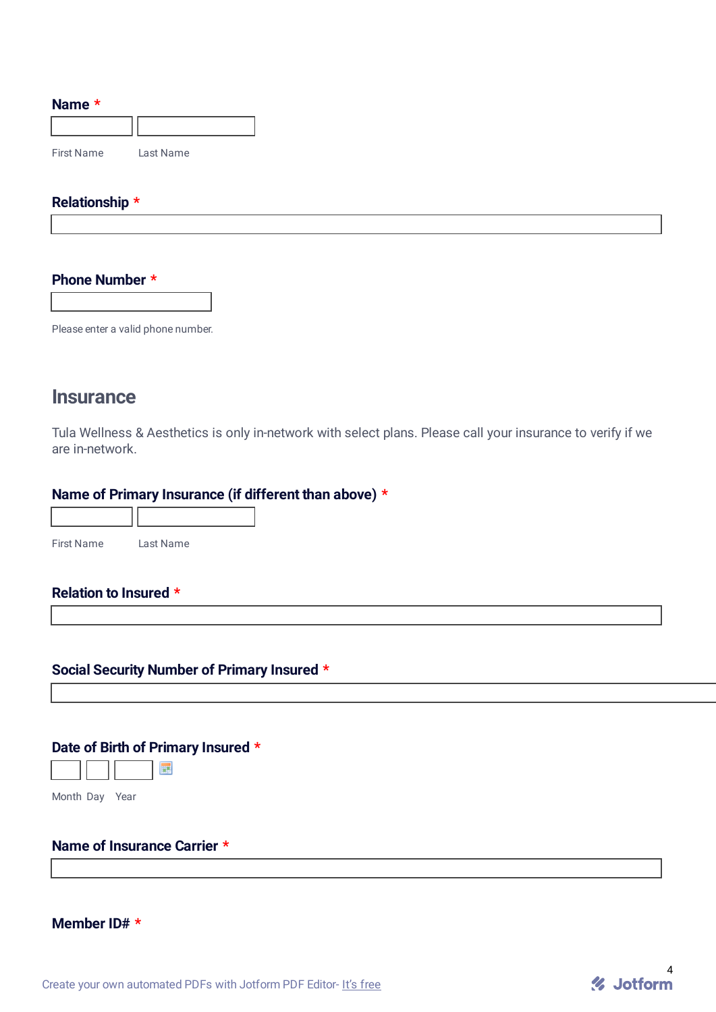#### **Name \***

| <b>First Name</b> | Last Name |
|-------------------|-----------|

#### **Relationship \***

#### **Phone Number \***

Please enter a valid phone number.

## **Insurance**

Tula Wellness & Aesthetics is only in-network with select plans. Please call your insurance to verify if we are in-network.

#### **Name of Primary Insurance (if different than above) \***

| <b>First Name</b> | ast Name |
|-------------------|----------|

#### **Relation to Insured \***

### **Social Security Number of Primary Insured \***

### **Date of Birth of Primary Insured \***



Month Day Year

### **Name of Insurance Carrier \***

#### **Member ID# \***

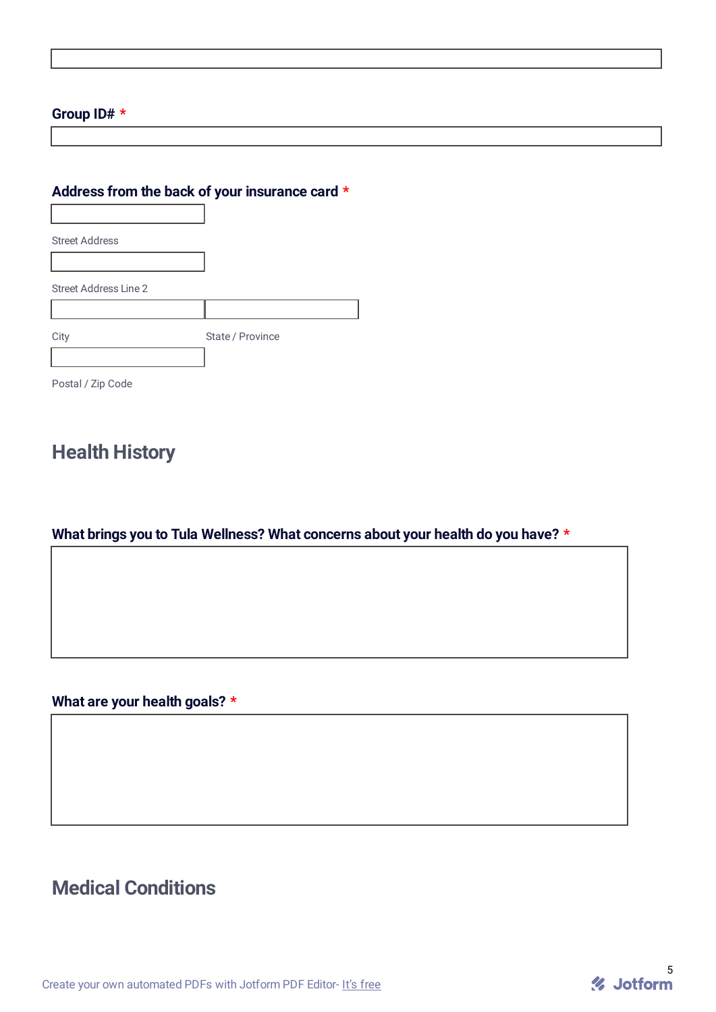### **Group ID# \***

### **Address from the back of your insurance card \***

Street Address Street Address Line 2 City State / Province Postal / Zip Code

## **Health History**

## **What brings you to Tula Wellness? What concerns about your health do you have? \***

**What are your health goals? \***

# **Medical Conditions**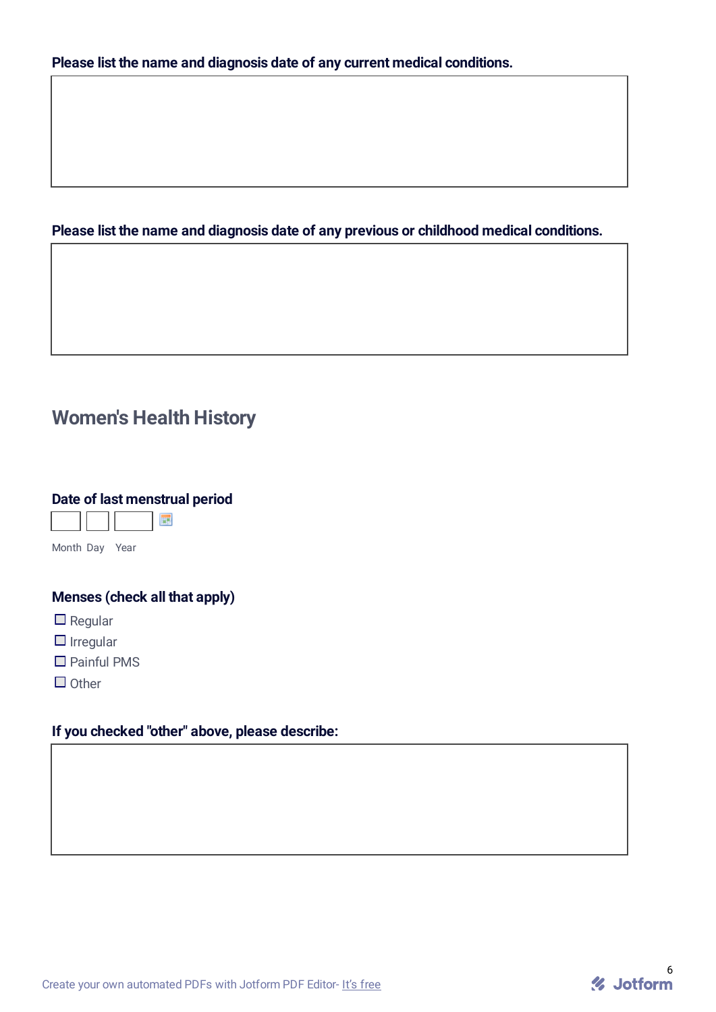### **Please list the name and diagnosis date of any previous or childhood medical conditions.**

# **Women's Health History**

### **Date of last menstrual period**



Month Day Year

### **Menses (check all that apply)**

- $\square$  Regular
- $\Box$  Irregular
- □ Painful PMS
- $\Box$  Other

### **If you checked "other" above, please describe:**

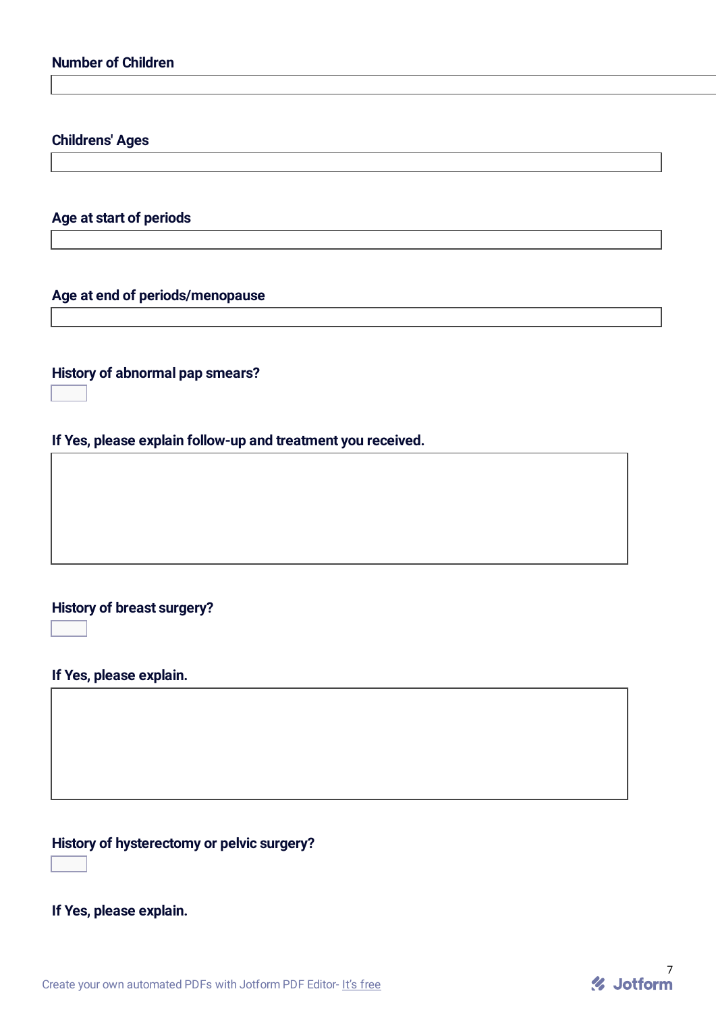### **Childrens' Ages**

**Age at start of periods**

#### **Age at end of periods/menopause**

**History of abnormal pap smears?**

**If Yes, please explain follow-up and treatment you received.**

### **History of breast surgery?**

 $\overline{\mathbf{r}}$ 

 $\overline{\mathbf{F}}$ 

### **If Yes, please explain.**

## **History of hysterectomy or pelvic surgery?**

 $\overline{\mathbf{r}}$ 

**If Yes, please explain.**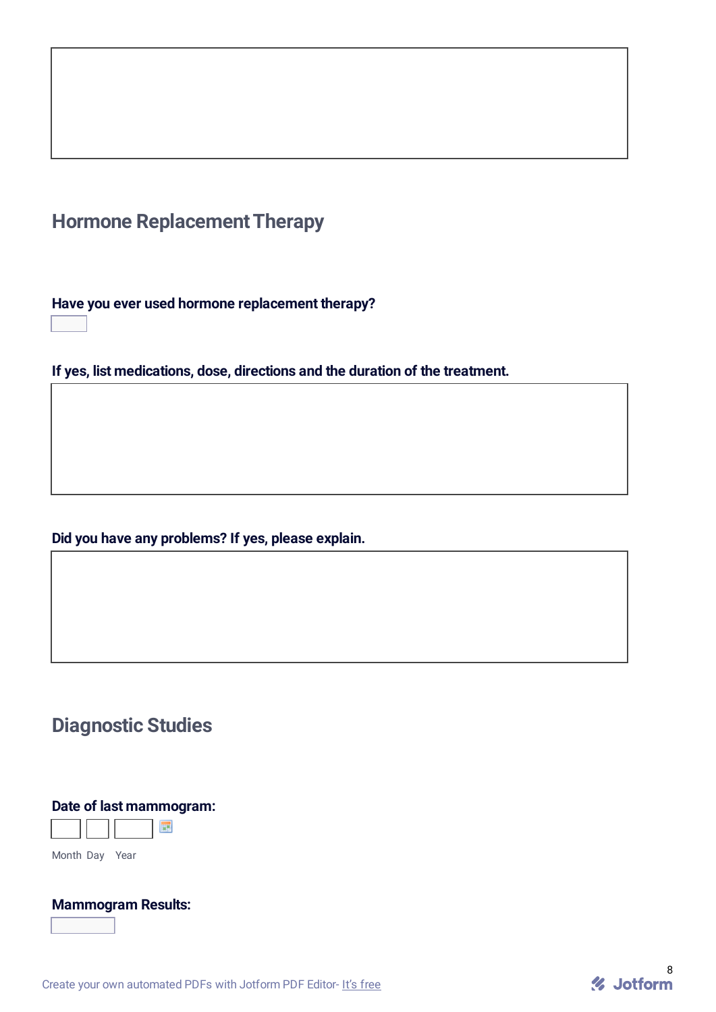# **Hormone Replacement Therapy**

**Have you ever used hormone replacement therapy?**  $\overline{\mathbf{r}}$ 

**If yes, list medications, dose, directions and the duration of the treatment.**

## **Did you have any problems? If yes, please explain.**

## **Diagnostic Studies**

## **Date of last mammogram:**



Month Day Year

### **Mammogram Results:**  $\overline{\mathbf{F}}$

Create your own [automated](https://www.jotform.com/products/pdf-editor/?utm_source=pdf_file&utm_medium=referral&utm_term=212976443261054&utm_content=jotform_text&utm_campaign=pdf_file_branding_footer) PDFs with Jotform PDF Editor- It's free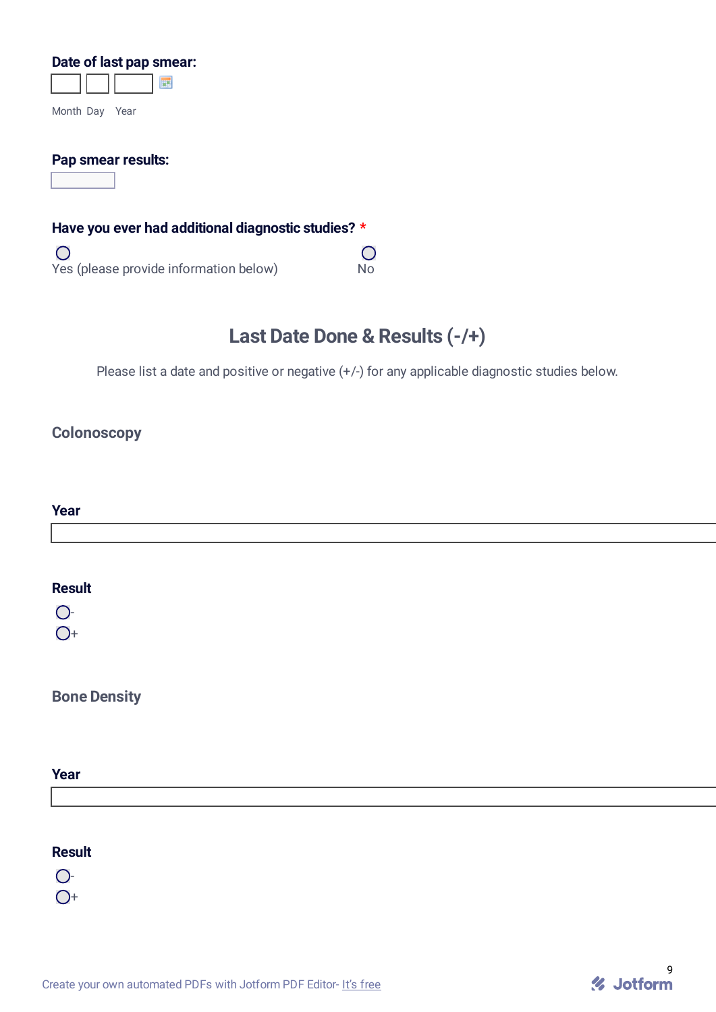#### **Date of last pap smear:**

| Month Day | Year |  |
|-----------|------|--|

#### **Pap smear results:**

 $\overline{\mathbf{F}}$ 

### **Have you ever had additional diagnostic studies? \***

 $\overline{O}$ Yes (please provide information below) No

# **Last Date Done & Results (-/+)**

 $\overline{O}$ 

Please list a date and positive or negative  $(+/-)$  for any applicable diagnostic studies below.

### **Colonoscopy**

| Year |  |  |  |
|------|--|--|--|
|      |  |  |  |
|      |  |  |  |
|      |  |  |  |

#### **Result**

 $\overline{O}$ -

 $O+$ 

## **Bone Density**

#### **Year**

#### **Result**

 $O<sub>-</sub>$ 

 $O<sup>+</sup>$ 

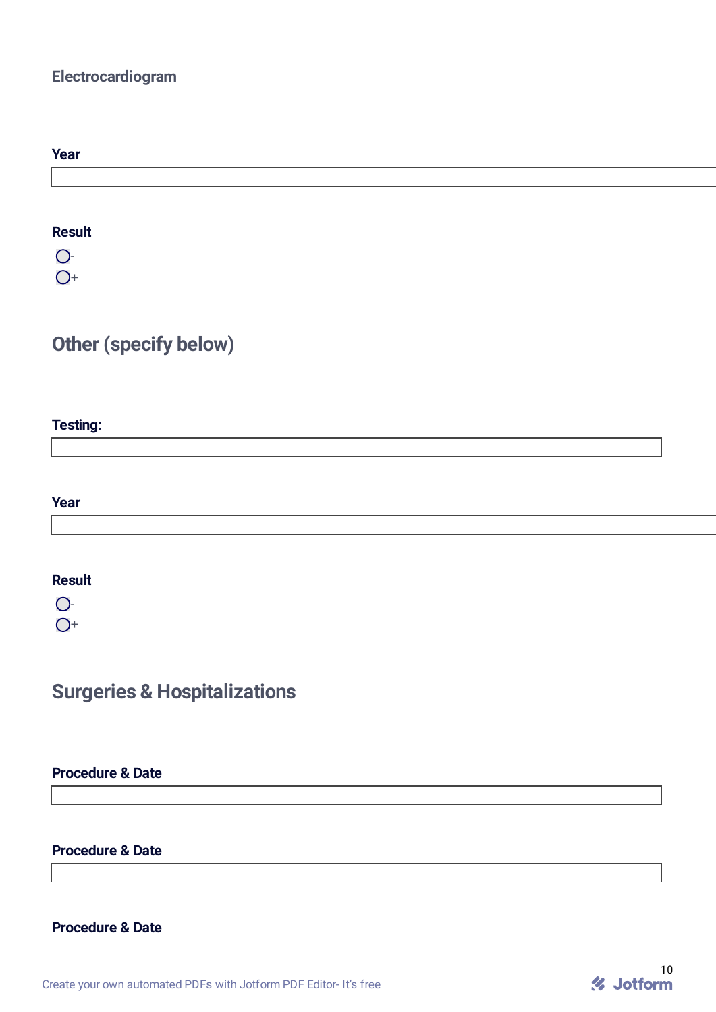## **Electrocardiogram**

| Year |  |  |
|------|--|--|
|      |  |  |
|      |  |  |

## **Result**

 $O -$ 

 $O<sub>+</sub>$ 

# **Other (specify below)**

## **Testing:**

**Year**

### **Result**

 $\overline{O}$ -

 $O<sub>+</sub>$ 

# **Surgeries & Hospitalizations**

### **Procedure & Date**

### **Procedure & Date**

### **Procedure & Date**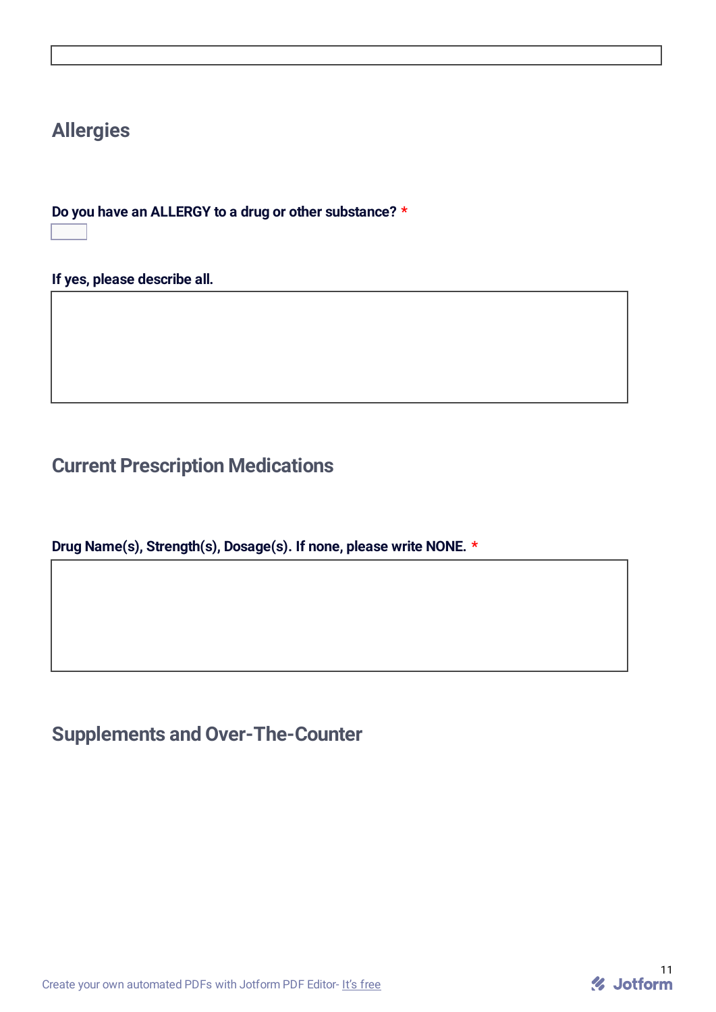# **Allergies**

**Do you have an ALLERGY to a drug or other substance? \***  $\boxed{7}$ 

**If yes, please describe all.**

# **Current Prescription Medications**

**Drug Name(s), Strength(s), Dosage(s). If none, please write NONE. \***

# **Supplements and Over-The-Counter**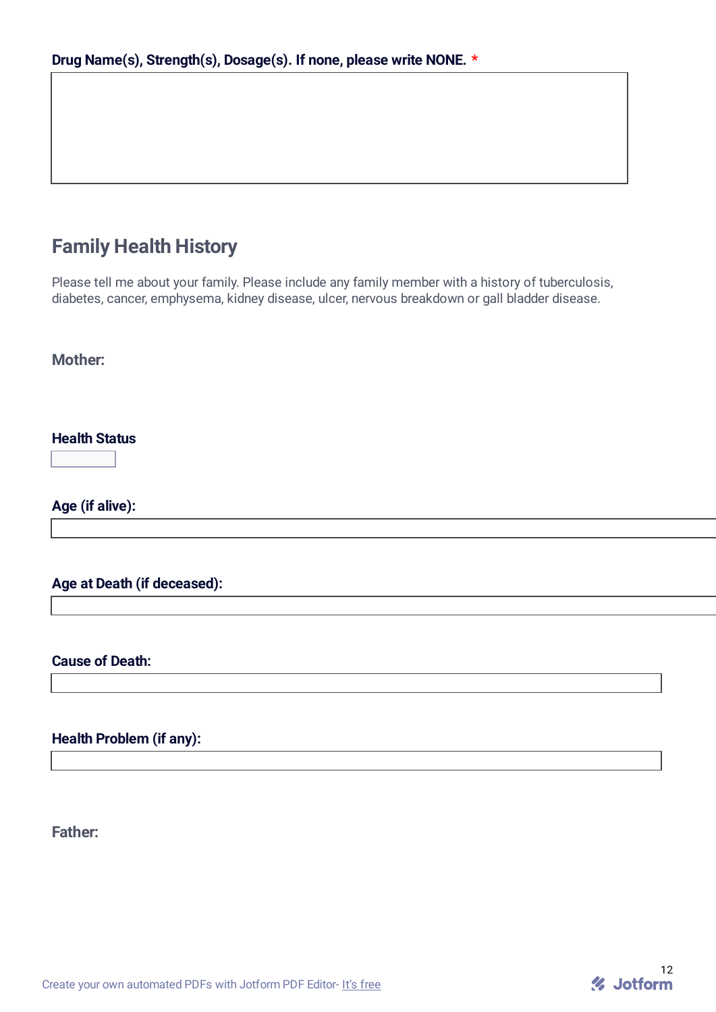# **Family Health History**

Please tell me about your family. Please include any family member with a history of tuberculosis, diabetes, cancer, emphysema, kidney disease, ulcer, nervous breakdown or gall bladder disease.

**Mother:**

**Health Status**

 $\overline{\blacksquare}$ 

**Age (if alive):**

**Age at Death (if deceased):**

**Cause of Death:**

**Health Problem (if any):**

**Father:**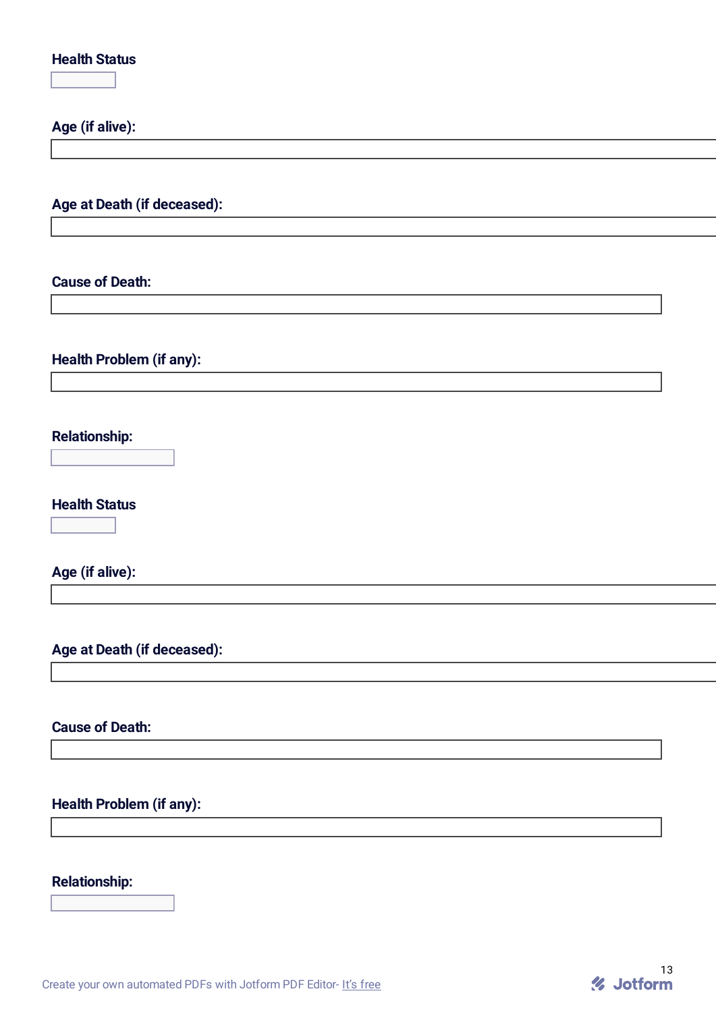| <b>Health Status</b><br>$\overline{\mathbf{F}}$ |
|-------------------------------------------------|
| Age (if alive):                                 |
|                                                 |
| Age at Death (if deceased):                     |
| <b>Cause of Death:</b>                          |
| <b>Health Problem (if any):</b>                 |
| <b>Relationship:</b><br>$\bm \Xi$               |
| <b>Health Status</b><br>$\blacktriangleright$   |
| Age (if alive):                                 |
| Age at Death (if deceased):                     |
| <b>Cause of Death:</b>                          |
| <b>Health Problem (if any):</b>                 |
| <b>Relationship:</b><br>$\overline{\mathbf{F}}$ |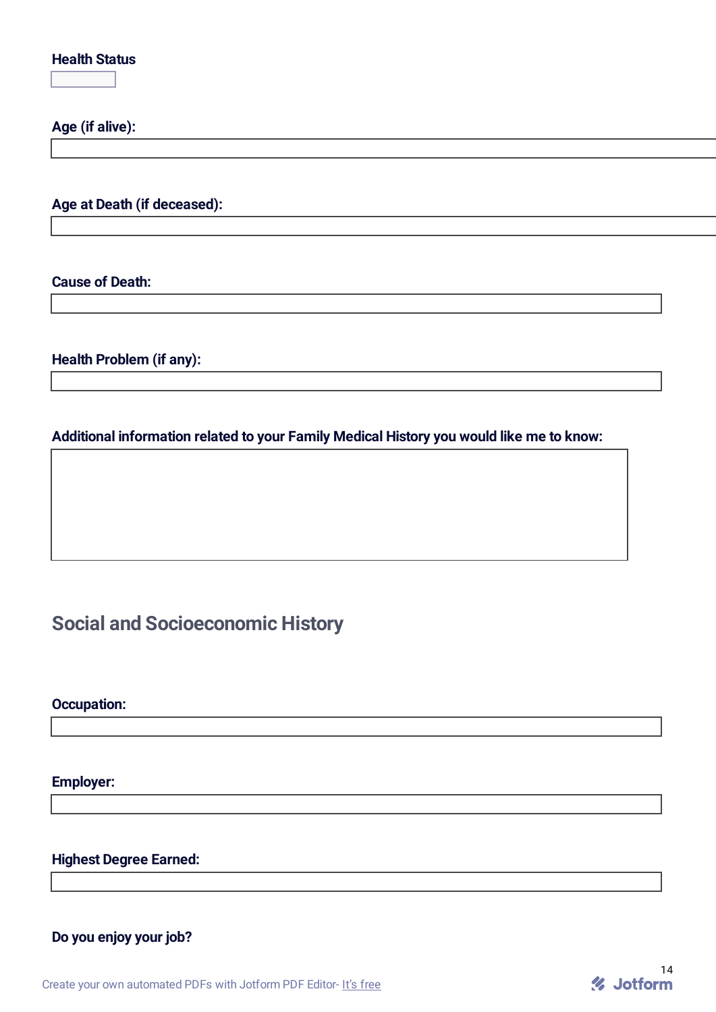### **Health Status**  $\overline{\mathbf{F}}$

**Age (if alive):**

**Age at Death (if deceased):**

**Cause of Death:**

**Health Problem (if any):**

### **Additional information related to your Family Medical History you would like me to know:**

# **Social and Socioeconomic History**

**Occupation:**

**Employer:**

**Highest Degree Earned:**

**Do you enjoy your job?**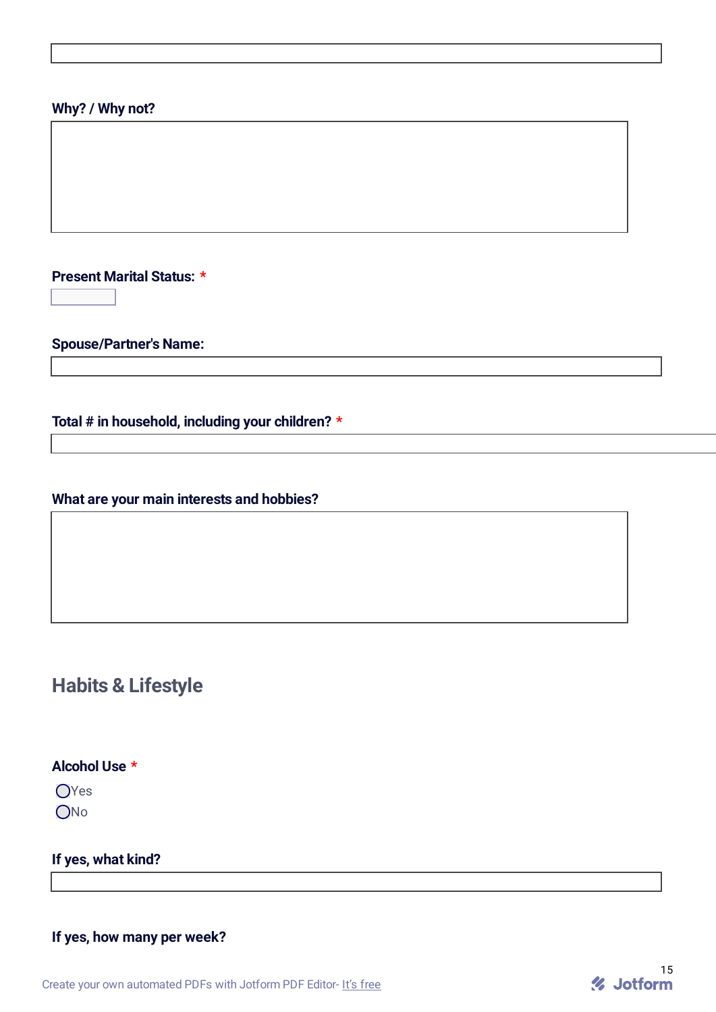### **Why? / Why not?**

**Present Marital Status: \***  $\overline{\mathbf{r}}$ 

**Spouse/Partner's Name:**

**Total # in household, including your children? \***

**What are your main interests and hobbies?**

# **Habits & Lifestyle**

**Alcohol Use \***

OYes ONo

**If yes, what kind?**

**If yes, how many per week?**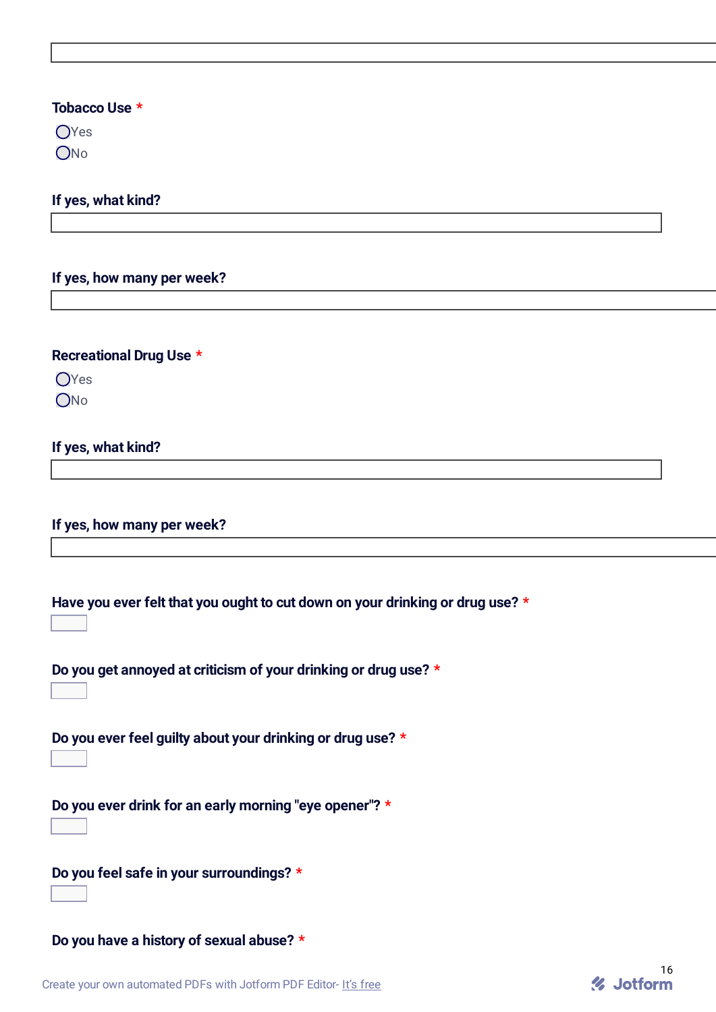#### **Tobacco Use \***

 $OYes$ ONo

#### **If yes, what kind?**

#### **If yes, how many per week?**

#### **Recreational Drug Use \***

OYes

ONo

### **If yes, what kind?**

**If yes, how many per week?**

**Have you ever felt that you ought to cut down on your drinking or drug use? \***

**Do you get annoyed at criticism of your drinking or drug use? \***  $\overline{\mathbf{F}}$ 

**Do you ever feel guilty about your drinking or drug use? \***

 $\boxed{\mathbf{r}}$ 

**Do you ever drink for an early morning "eye opener"? \***  $\overline{\mathbf{r}}$ 

**Do you feel safe in your surroundings? \***  $\overline{\mathbf{r}}$ 

**Do you have a history of sexual abuse? \***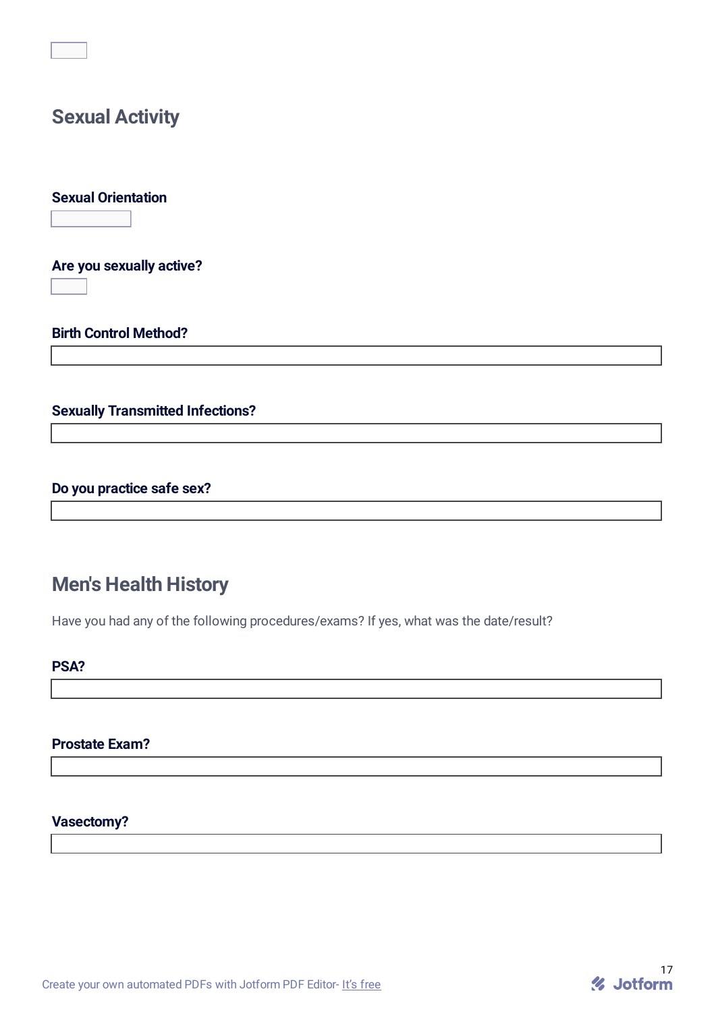# **Sexual Activity**

**Sexual Orientation**

 $\overline{\mathbf{F}}$ 

**Are you sexually active?**

 $\overline{\mathbf{r}}$ 

**Birth Control Method?**

### **Sexually Transmitted Infections?**

### **Do you practice safe sex?**

# **Men's Health History**

Have you had any of the following procedures/exams? If yes, what was the date/result?

### **PSA?**

### **Prostate Exam?**

#### **Vasectomy?**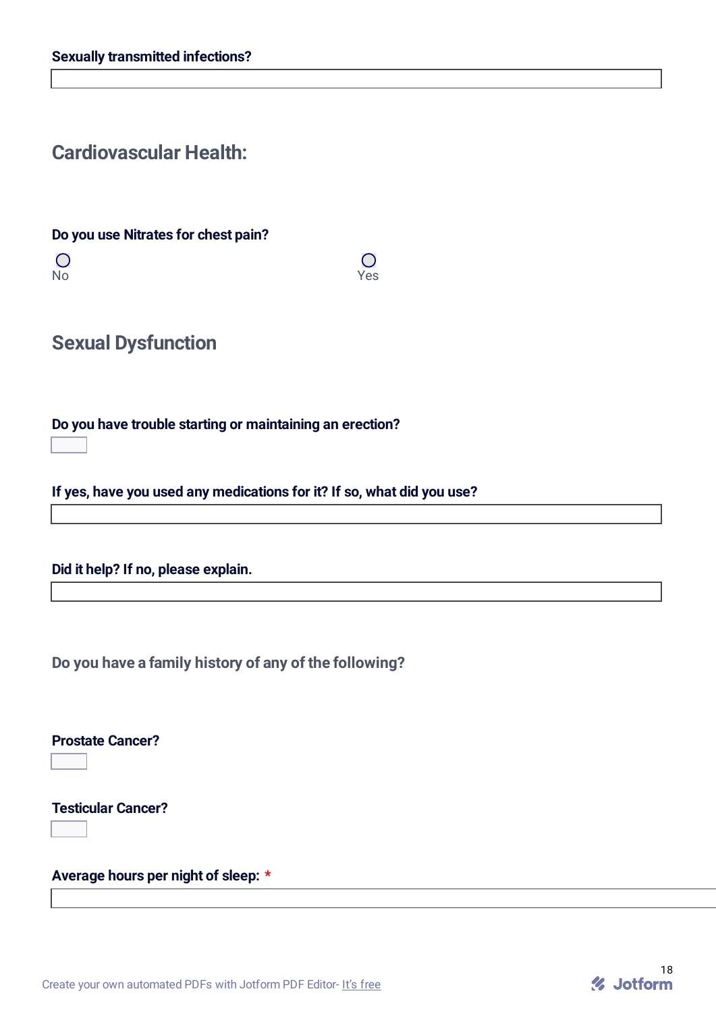## **Cardiovascular Health:**

**Do you use Nitrates for chest pain?**

 $\overline{O}$ No Yes

 $\overline{O}$ 

**Sexual Dysfunction**

**Do you have trouble starting or maintaining an erection?**  $\overline{\mathbf{r}}$ 

**If yes, have you used any medications for it? If so, what did you use?**

**Did it help? If no, please explain.**

**Do you have a family history of any of the following?**

**Prostate Cancer?**

 $\overline{\mathbf{r}}$ 

**Testicular Cancer?**

 $\overline{\mathbf{r}}$ 

**Average hours per night of sleep: \***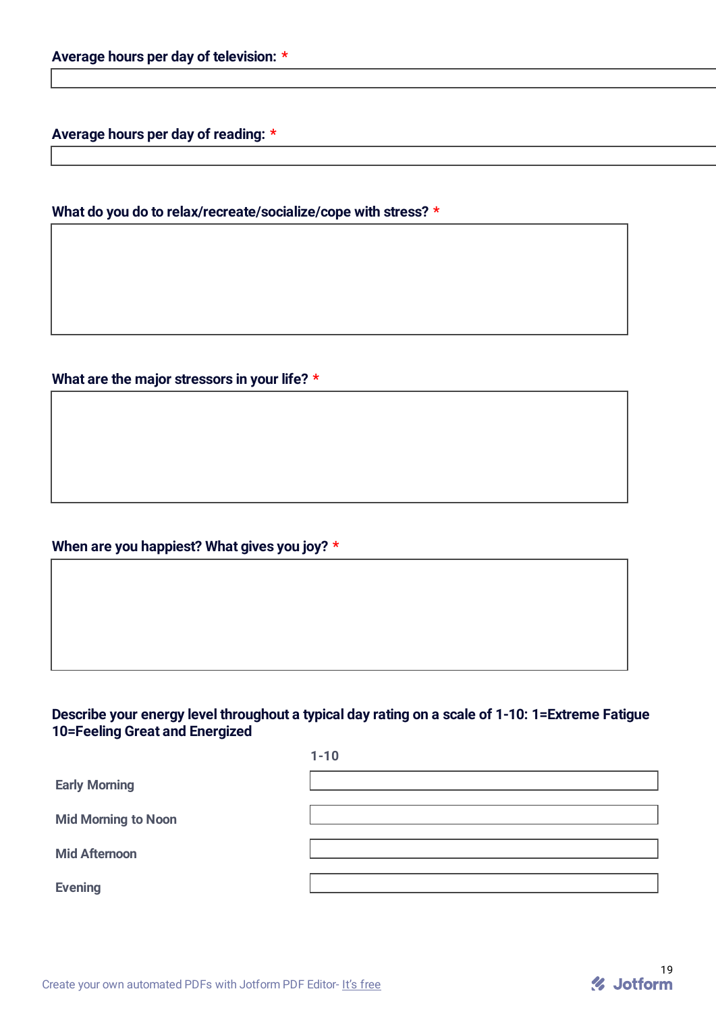**Average hours per day of reading: \***

### **What do you do to relax/recreate/socialize/cope with stress? \***

**What are the major stressors in your life? \***

### **When are you happiest? What gives you joy? \***

### **Describe your energy level throughout a typical day rating on a scale of 1-10: 1=Extreme Fatigue 10=Feeling Great and Energized**

|                            | $1 - 10$ |
|----------------------------|----------|
| <b>Early Morning</b>       |          |
| <b>Mid Morning to Noon</b> |          |
| <b>Mid Afternoon</b>       |          |
| <b>Evening</b>             |          |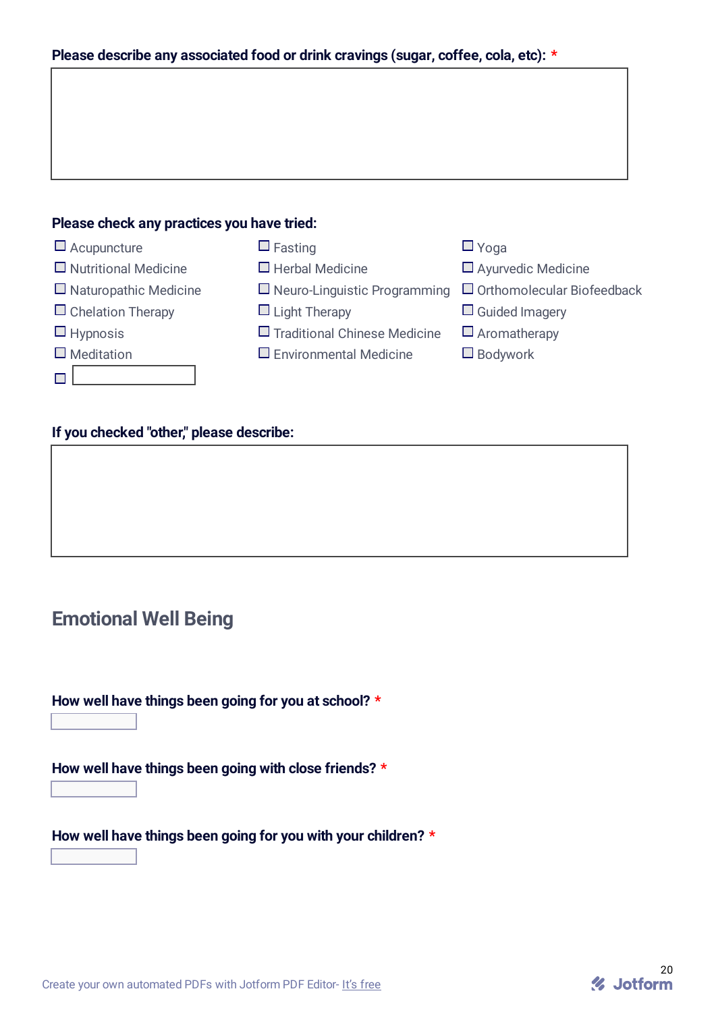| Please describe any associated food or drink cravings (sugar, coffee, cola, etc): * |  |  |  |  |  |  |  |
|-------------------------------------------------------------------------------------|--|--|--|--|--|--|--|
|-------------------------------------------------------------------------------------|--|--|--|--|--|--|--|

### **Please check any practices you have tried:**



### **If you checked "other," please describe:**

## **Emotional Well Being**

**How well have things been going for you at school? \***

 $\overline{\mathbf{F}}$ 

**How well have things been going with close friends? \***

 $\overline{\mathbf{r}}$ 

**How well have things been going for you with your children? \***

 $\overline{\mathbf{r}}$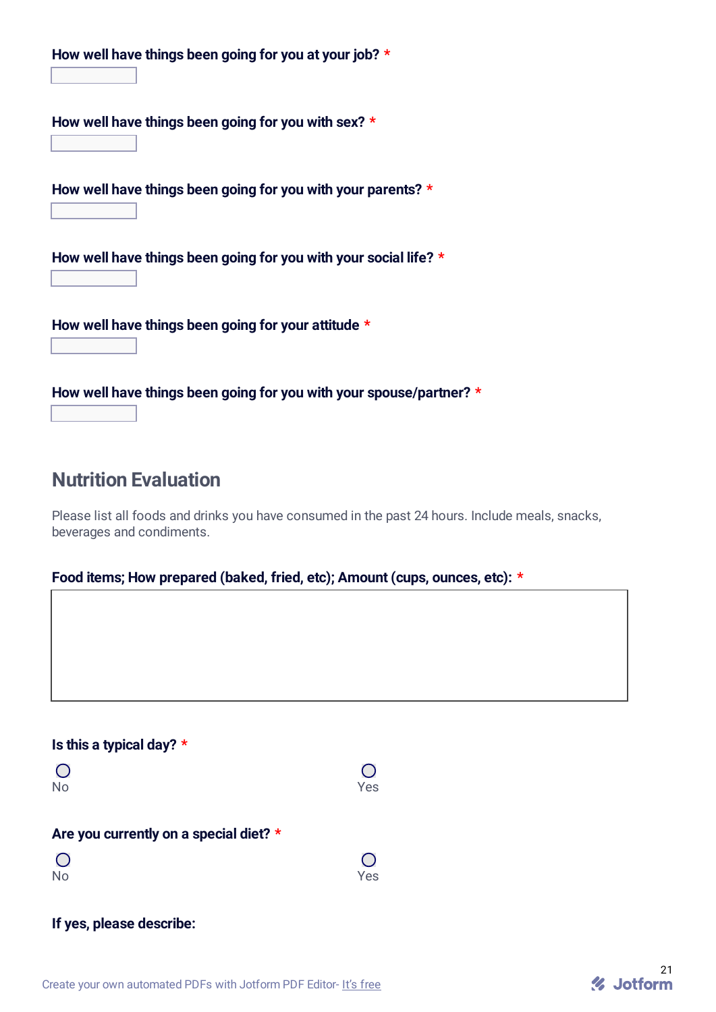| How well have things been going for you at your job? *<br>$\mathbf{v}$              |
|-------------------------------------------------------------------------------------|
| How well have things been going for you with sex? $\star$<br>$\mathbf{r}$           |
| How well have things been going for you with your parents? *<br>$\mathbf{v}$        |
| How well have things been going for you with your social life? $*$<br>$\mathbf{r}$  |
| How well have things been going for your attitude $*$<br>$\vert \mathbf{v} \vert$   |
| How well have things been going for you with your spouse/partner? *<br>$\mathbf{v}$ |

## **Nutrition Evaluation**

Please list all foods and drinks you have consumed in the past 24 hours. Include meals, snacks, beverages and condiments.

### **Food items; How prepared (baked, fried, etc); Amount (cups, ounces, etc): \***

### **Is this a typical day? \***

| $\overline{O}$ | $\bigcirc$ |
|----------------|------------|
| No             | Yes        |

#### **Are you currently on a special diet? \***

| $\bigcirc$ | $\bigcirc$ |
|------------|------------|
| <b>No</b>  | Yes        |

### **If yes, please describe:**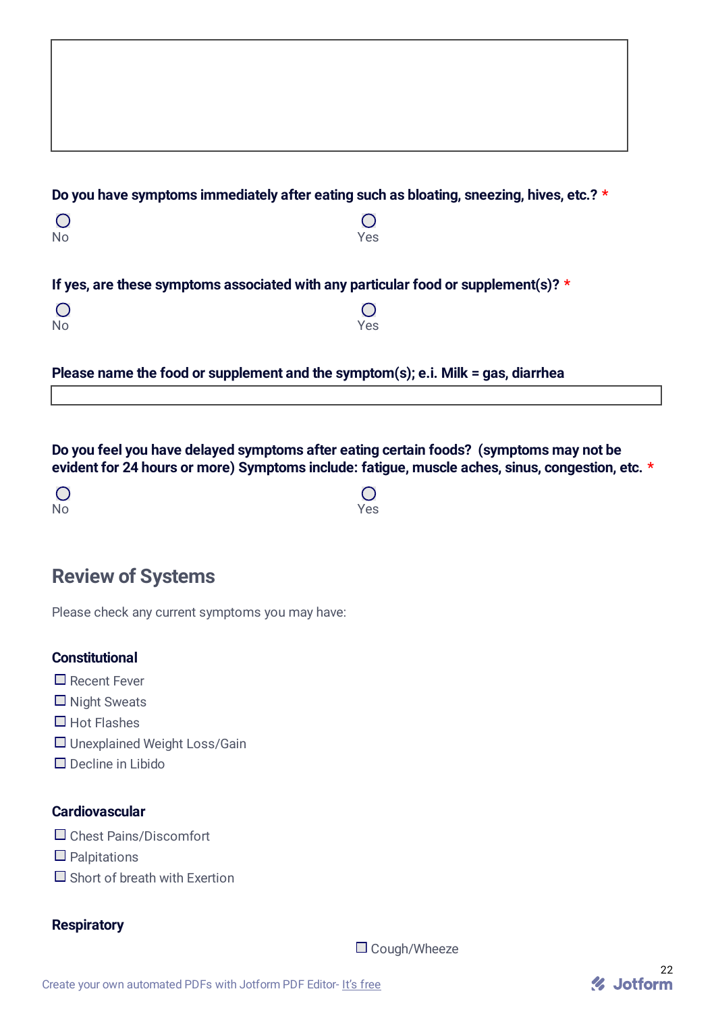|           | Do you have symptoms immediately after eating such as bloating, sneezing, hives, etc.? * |  |
|-----------|------------------------------------------------------------------------------------------|--|
|           |                                                                                          |  |
| <b>No</b> | Yes                                                                                      |  |
|           |                                                                                          |  |
|           | If yes, are these symptoms associated with any particular food or supplement(s)? $\star$ |  |
|           |                                                                                          |  |

**Please name the food or supplement and the symptom(s); e.i. Milk = gas, diarrhea**

**Do you feel you have delayed symptoms after eating certain foods? (symptoms may not be evident for 24 hours or more) Symptoms include: fatigue, muscle aches, sinus, congestion, etc. \***

 $\overline{O}$ 

 $\overline{O}$ No Yes

# **Review of Systems**

Please check any current symptoms you may have:

### **Constitutional**

- Recent Fever
- $\Box$  Night Sweats
- $\Box$  Hot Flashes
- □ Unexplained Weight Loss/Gain
- $\Box$  Decline in Libido

#### **Cardiovascular**

- □ Chest Pains/Discomfort
- $\Box$  Palpitations
- $\Box$  Short of breath with Exertion

#### **Respiratory**

□ Cough/Wheeze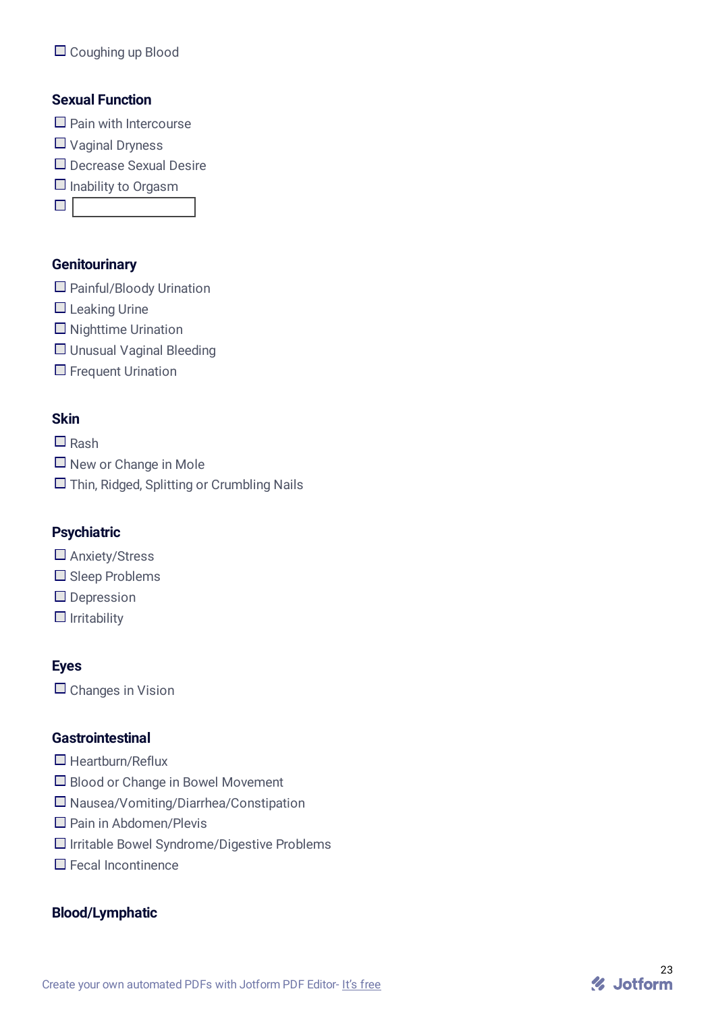### **Sexual Function**

- $\Box$  Pain with Intercourse
- Vaginal Dryness
- □ Decrease Sexual Desire
- $\Box$  Inability to Orgasm

 $\Box$ 

### **Genitourinary**

- $\Box$  Painful/Bloody Urination
- $\Box$  Leaking Urine
- $\Box$  Nighttime Urination
- □ Unusual Vaginal Bleeding
- $\Box$  Frequent Urination

## **Skin**

 $\square$  Rash

- $\Box$  New or Change in Mole
- □ Thin, Ridged, Splitting or Crumbling Nails

### **Psychiatric**

- □ Anxiety/Stress
- $\square$  Sleep Problems
- Depression
- $\Box$  Irritability

### **Eyes**

 $\Box$  Changes in Vision

### **Gastrointestinal**

- $\Box$  Heartburn/Reflux
- □ Blood or Change in Bowel Movement
- Nausea/Vomiting/Diarrhea/Constipation
- □ Pain in Abdomen/Plevis
- $\Box$  Irritable Bowel Syndrome/Digestive Problems
- Fecal Incontinence

### **Blood/Lymphatic**